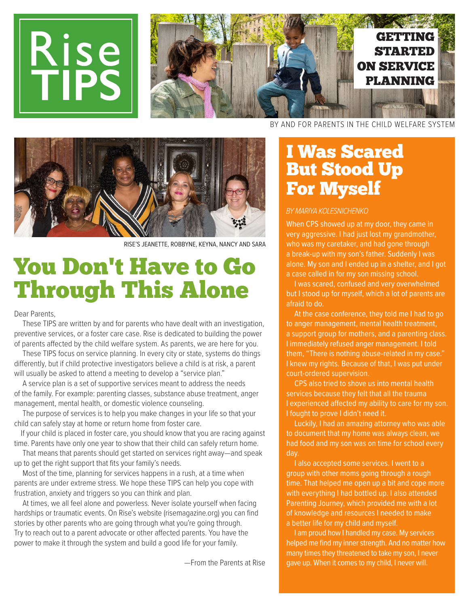

## You Don't Have to Go Through This Alone

Dear Parents,

 These TIPS are written by and for parents who have dealt with an investigation, preventive services, or a foster care case. Rise is dedicated to building the power of parents afected by the child welfare system. As parents, we are here for you.

 These TIPS focus on service planning. In every city or state, systems do things diferently, but if child protective investigators believe a child is at risk, a parent will usually be asked to attend a meeting to develop a "service plan."

 A service plan is a set of supportive services meant to address the needs of the family. For example: parenting classes, substance abuse treatment, anger management, mental health, or domestic violence counseling.

 The purpose of services is to help you make changes in your life so that your child can safely stay at home or return home from foster care.

If your child is placed in foster care, you should know that you are racing against time. Parents have only one year to show that their child can safely return home.

 That means that parents should get started on services right away—and speak up to get the right support that fits your family's needs.

 Most of the time, planning for services happens in a rush, at a time when parents are under extreme stress. We hope these TIPS can help you cope with frustration, anxiety and triggers so you can think and plan.

 At times, we all feel alone and powerless. Never isolate yourself when facing hardships or traumatic events. On Rise's website (risemagazine.org) you can find stories by other parents who are going through what you're going through. Try to reach out to a parent advocate or other afected parents. You have the power to make it through the system and build a good life for your family.

—From the Parents at Rise

## I Was Scared But Stood Up For Myself

#### BY MARIYA KOLESNICHENKO

When CPS showed up at my door, they came in very aggressive. I had just lost my grandmother, who was my caretaker, and had gone through a break-up with my son's father. Suddenly I was alone. My son and I ended up in a shelter, and I got a case called in for my son missing school.

 I was scared, confused and very overwhelmed but I stood up for myself, which a lot of parents are afraid to do.

 At the case conference, they told me I had to go to anger management, mental health treatment, a support group for mothers, and a parenting class. I immediately refused anger management. I told them, "There is nothing abuse-related in my case." I knew my rights. Because of that, I was put under court-ordered supervision.

 CPS also tried to shove us into mental health services because they felt that all the trauma I experienced afected my ability to care for my son. I fought to prove I didn't need it.

 Luckily, I had an amazing attorney who was able to document that my home was always clean, we had food and my son was on time for school every day.

 I also accepted some services. I went to a group with other moms going through a rough time. That helped me open up a bit and cope more with everything I had bottled up. I also attended Parenting Journey, which provided me with a lot of knowledge and resources I needed to make a better life for my child and myself.

 I am proud how I handled my case. My services helped me find my inner strength. And no matter how many times they threatened to take my son, I never gave up. When it comes to my child, I never will.

RISE'S JEANETTE, ROBBYNE, KEYNA, NANCY AND SARA